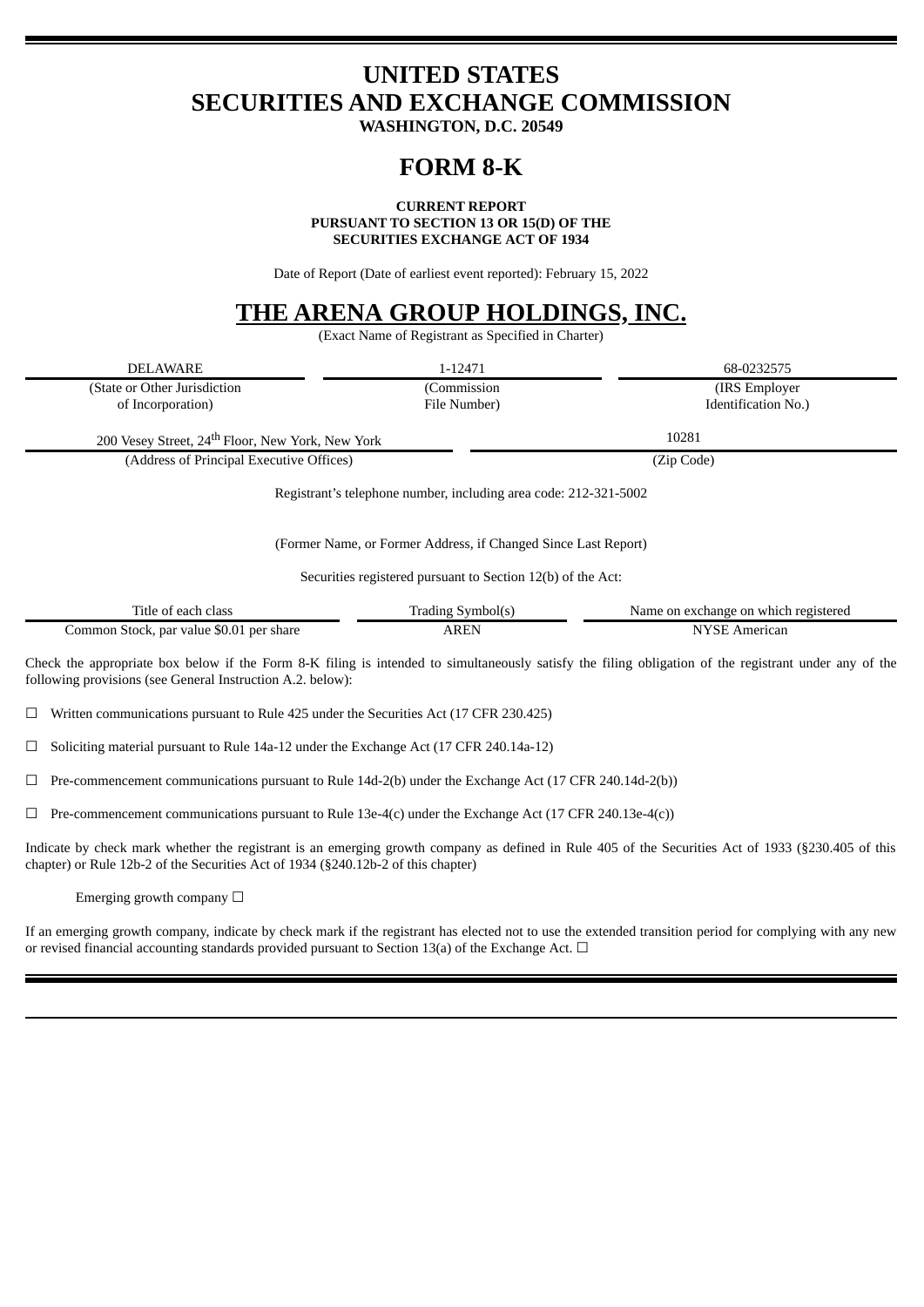# **UNITED STATES SECURITIES AND EXCHANGE COMMISSION**

**WASHINGTON, D.C. 20549**

## **FORM 8-K**

### **CURRENT REPORT**

**PURSUANT TO SECTION 13 OR 15(D) OF THE SECURITIES EXCHANGE ACT OF 1934**

Date of Report (Date of earliest event reported): February 15, 2022

## **THE ARENA GROUP HOLDINGS, INC.**

(Exact Name of Registrant as Specified in Charter)

| (State or Other Jurisdiction<br>(Commission<br>(IRS Employer<br>Identification No.)<br>of Incorporation)<br>File Number)<br>10281<br>200 Vesey Street, 24 <sup>th</sup> Floor, New York, New York<br>(Address of Principal Executive Offices)<br>(Zip Code)<br>Registrant's telephone number, including area code: 212-321-5002<br>(Former Name, or Former Address, if Changed Since Last Report)<br>Securities registered pursuant to Section 12(b) of the Act:<br>Title of each class<br>Trading Symbol(s)<br>Name on exchange on which registered<br><b>NYSE American</b><br>Common Stock, par value \$0.01 per share<br><b>AREN</b><br>Check the appropriate box below if the Form 8-K filing is intended to simultaneously satisfy the filing obligation of the registrant under any of the<br>following provisions (see General Instruction A.2. below):<br>$\Box$ Written communications pursuant to Rule 425 under the Securities Act (17 CFR 230.425)<br>п<br>Soliciting material pursuant to Rule 14a-12 under the Exchange Act (17 CFR 240.14a-12) | <b>DELAWARE</b> | 1-12471 | 68-0232575 |
|---------------------------------------------------------------------------------------------------------------------------------------------------------------------------------------------------------------------------------------------------------------------------------------------------------------------------------------------------------------------------------------------------------------------------------------------------------------------------------------------------------------------------------------------------------------------------------------------------------------------------------------------------------------------------------------------------------------------------------------------------------------------------------------------------------------------------------------------------------------------------------------------------------------------------------------------------------------------------------------------------------------------------------------------------------------|-----------------|---------|------------|
|                                                                                                                                                                                                                                                                                                                                                                                                                                                                                                                                                                                                                                                                                                                                                                                                                                                                                                                                                                                                                                                               |                 |         |            |
|                                                                                                                                                                                                                                                                                                                                                                                                                                                                                                                                                                                                                                                                                                                                                                                                                                                                                                                                                                                                                                                               |                 |         |            |
|                                                                                                                                                                                                                                                                                                                                                                                                                                                                                                                                                                                                                                                                                                                                                                                                                                                                                                                                                                                                                                                               |                 |         |            |
|                                                                                                                                                                                                                                                                                                                                                                                                                                                                                                                                                                                                                                                                                                                                                                                                                                                                                                                                                                                                                                                               |                 |         |            |
|                                                                                                                                                                                                                                                                                                                                                                                                                                                                                                                                                                                                                                                                                                                                                                                                                                                                                                                                                                                                                                                               |                 |         |            |
|                                                                                                                                                                                                                                                                                                                                                                                                                                                                                                                                                                                                                                                                                                                                                                                                                                                                                                                                                                                                                                                               |                 |         |            |
|                                                                                                                                                                                                                                                                                                                                                                                                                                                                                                                                                                                                                                                                                                                                                                                                                                                                                                                                                                                                                                                               |                 |         |            |
|                                                                                                                                                                                                                                                                                                                                                                                                                                                                                                                                                                                                                                                                                                                                                                                                                                                                                                                                                                                                                                                               |                 |         |            |
|                                                                                                                                                                                                                                                                                                                                                                                                                                                                                                                                                                                                                                                                                                                                                                                                                                                                                                                                                                                                                                                               |                 |         |            |
|                                                                                                                                                                                                                                                                                                                                                                                                                                                                                                                                                                                                                                                                                                                                                                                                                                                                                                                                                                                                                                                               |                 |         |            |

 $\Box$  Pre-commencement communications pursuant to Rule 14d-2(b) under the Exchange Act (17 CFR 240.14d-2(b))

 $\Box$  Pre-commencement communications pursuant to Rule 13e-4(c) under the Exchange Act (17 CFR 240.13e-4(c))

Indicate by check mark whether the registrant is an emerging growth company as defined in Rule 405 of the Securities Act of 1933 (§230.405 of this chapter) or Rule 12b-2 of the Securities Act of 1934 (§240.12b-2 of this chapter)

Emerging growth company  $\Box$ 

If an emerging growth company, indicate by check mark if the registrant has elected not to use the extended transition period for complying with any new or revised financial accounting standards provided pursuant to Section 13(a) of the Exchange Act.  $\Box$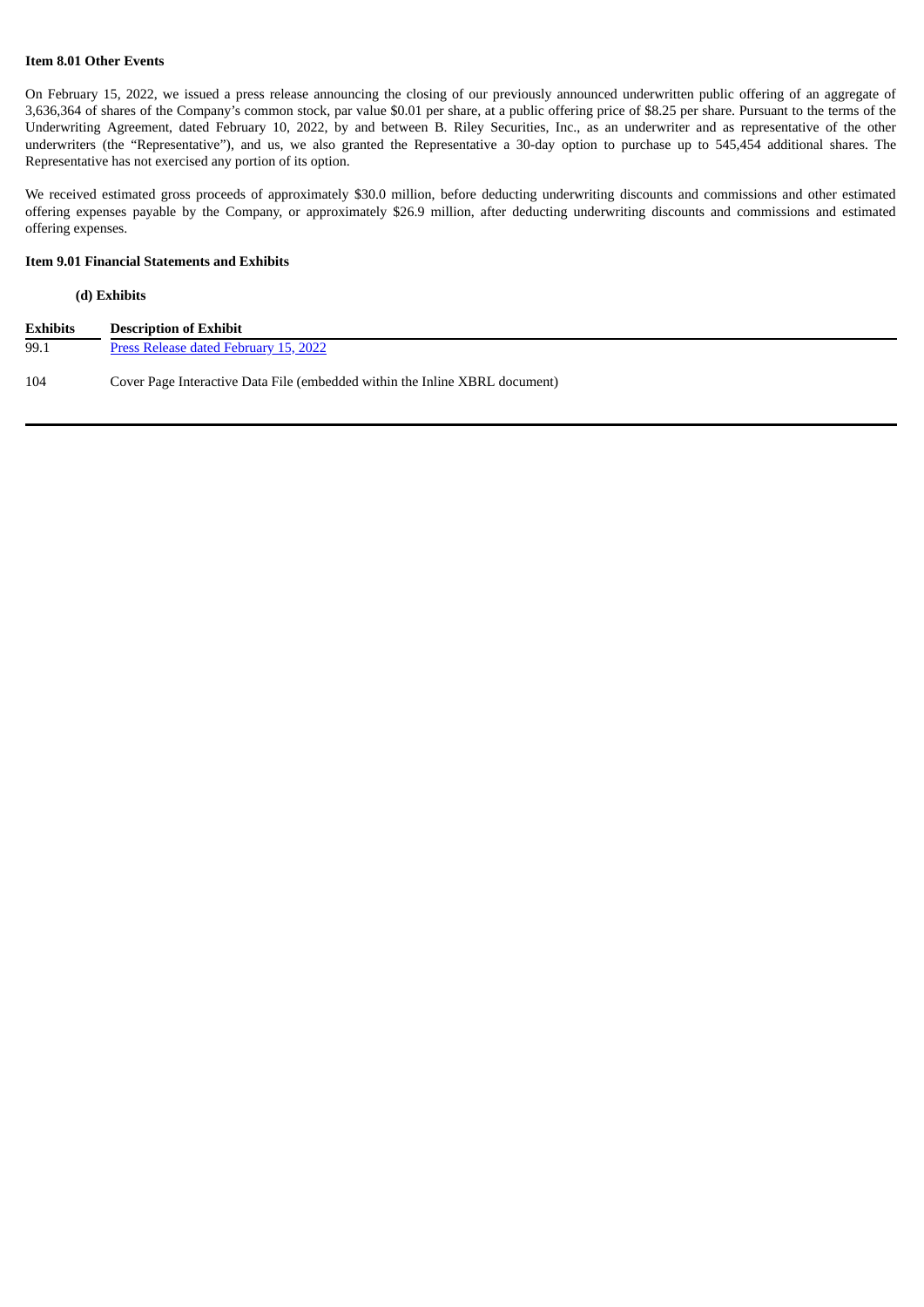#### **Item 8.01 Other Events**

On February 15, 2022, we issued a press release announcing the closing of our previously announced underwritten public offering of an aggregate of 3,636,364 of shares of the Company's common stock, par value \$0.01 per share, at a public offering price of \$8.25 per share. Pursuant to the terms of the Underwriting Agreement, dated February 10, 2022, by and between B. Riley Securities, Inc., as an underwriter and as representative of the other underwriters (the "Representative"), and us, we also granted the Representative a 30-day option to purchase up to 545,454 additional shares. The Representative has not exercised any portion of its option.

We received estimated gross proceeds of approximately \$30.0 million, before deducting underwriting discounts and commissions and other estimated offering expenses payable by the Company, or approximately \$26.9 million, after deducting underwriting discounts and commissions and estimated offering expenses.

## **Item 9.01 Financial Statements and Exhibits**

#### **(d) Exhibits**

| <b>Exhibits</b> | <b>Description of Exhibit</b>                                               |
|-----------------|-----------------------------------------------------------------------------|
| 99.1            | Press Release dated February 15, 2022                                       |
| 104             | Cover Page Interactive Data File (embedded within the Inline XBRL document) |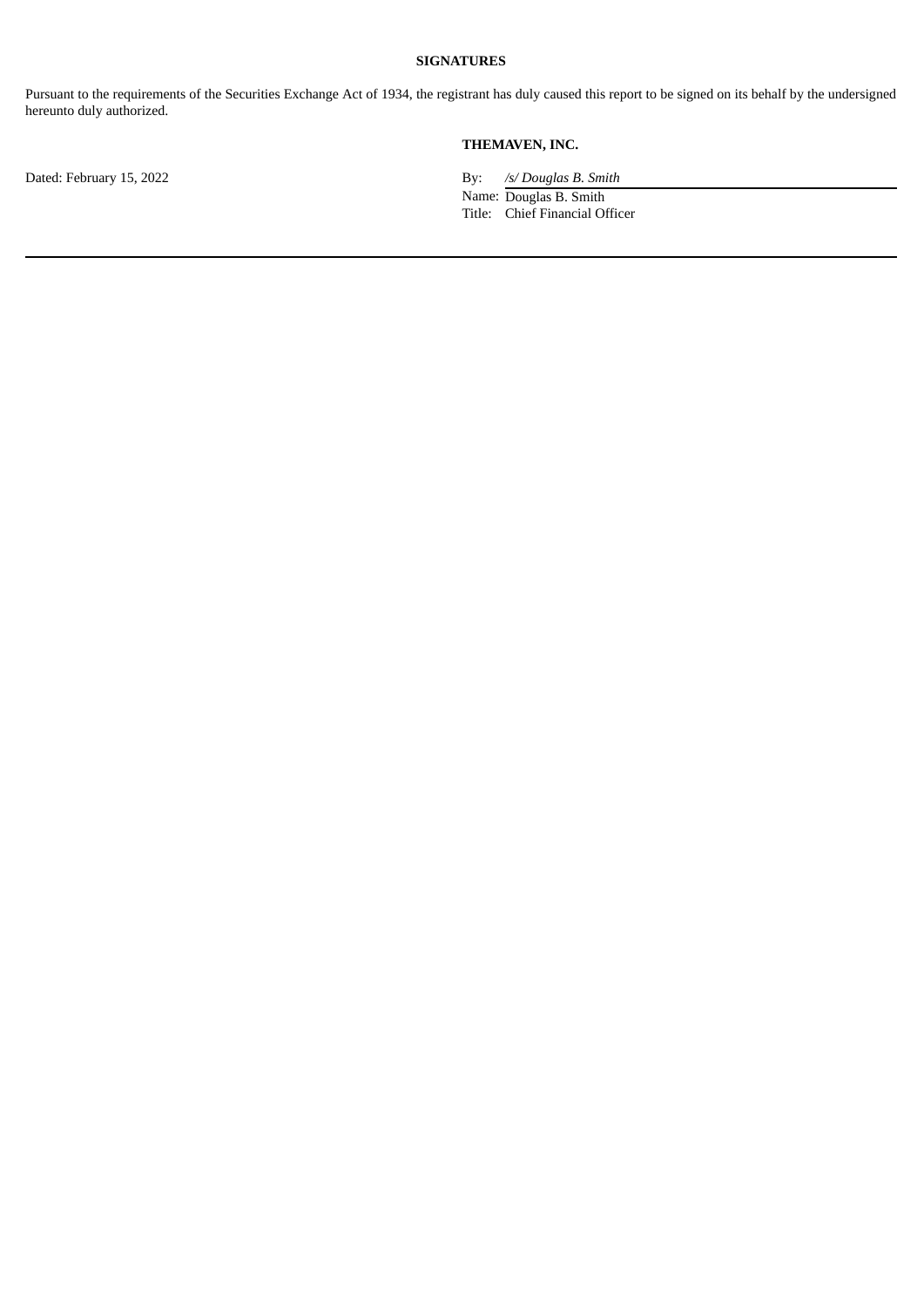### **SIGNATURES**

Pursuant to the requirements of the Securities Exchange Act of 1934, the registrant has duly caused this report to be signed on its behalf by the undersigned hereunto duly authorized.

## **THEMAVEN, INC.**

Dated: February 15, 2022 By: */s/ Douglas B. Smith* 

Name: Douglas B. Smith Title: Chief Financial Officer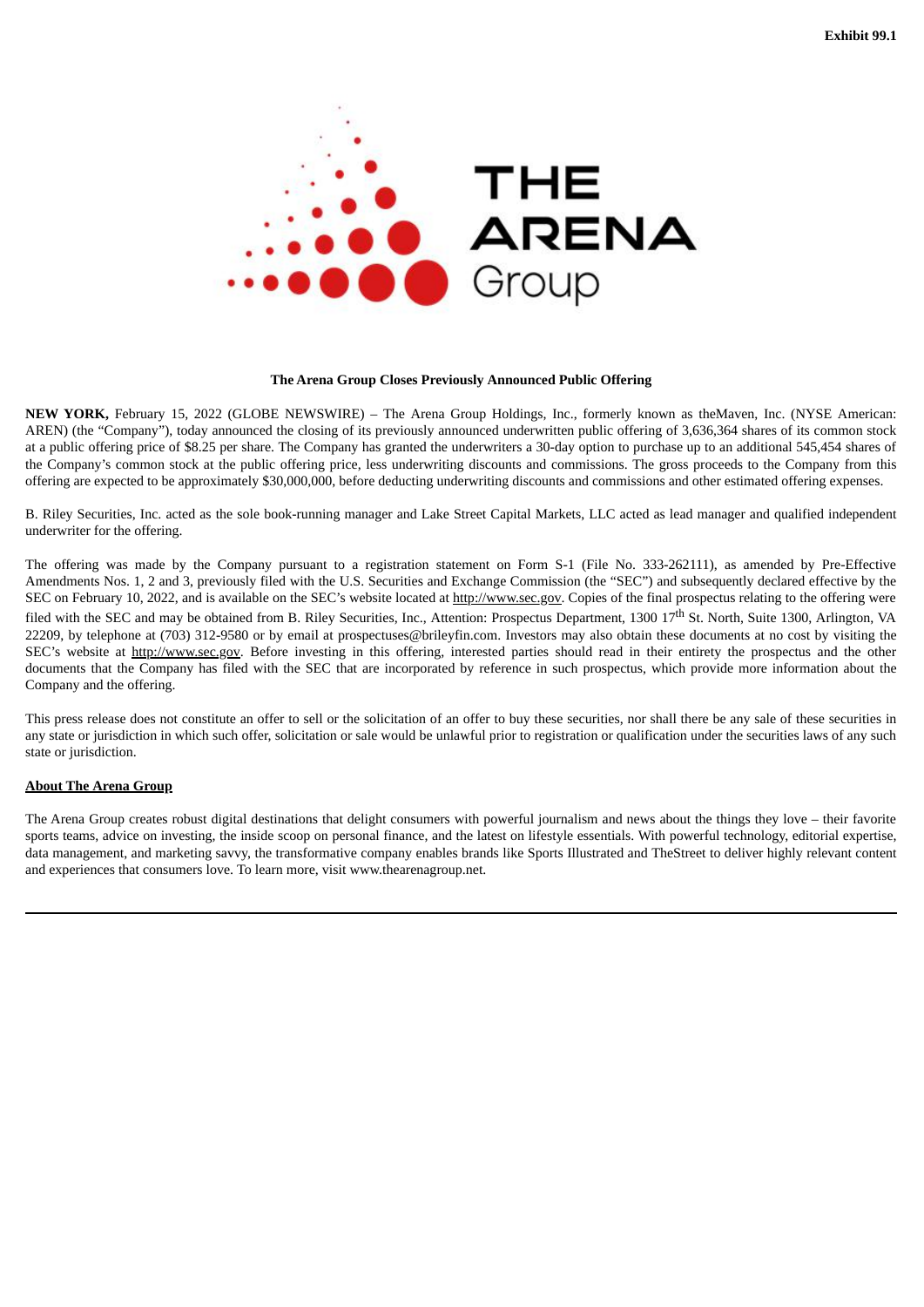<span id="page-3-0"></span>

#### **The Arena Group Closes Previously Announced Public Offering**

**NEW YORK,** February 15, 2022 (GLOBE NEWSWIRE) – The Arena Group Holdings, Inc., formerly known as theMaven, Inc. (NYSE American: AREN) (the "Company"), today announced the closing of its previously announced underwritten public offering of 3,636,364 shares of its common stock at a public offering price of \$8.25 per share. The Company has granted the underwriters a 30-day option to purchase up to an additional 545,454 shares of the Company's common stock at the public offering price, less underwriting discounts and commissions. The gross proceeds to the Company from this offering are expected to be approximately \$30,000,000, before deducting underwriting discounts and commissions and other estimated offering expenses.

B. Riley Securities, Inc. acted as the sole book-running manager and Lake Street Capital Markets, LLC acted as lead manager and qualified independent underwriter for the offering.

The offering was made by the Company pursuant to a registration statement on Form S-1 (File No. 333-262111), as amended by Pre-Effective Amendments Nos. 1, 2 and 3, previously filed with the U.S. Securities and Exchange Commission (the "SEC") and subsequently declared effective by the SEC on February 10, 2022, and is available on the SEC's website located at http://www.sec.gov. Copies of the final prospectus relating to the offering were filed with the SEC and may be obtained from B. Riley Securities, Inc., Attention: Prospectus Department, 1300 17<sup>th</sup> St. North, Suite 1300, Arlington, VA 22209, by telephone at (703) 312-9580 or by email at prospectuses@brileyfin.com. Investors may also obtain these documents at no cost by visiting the SEC's website at http://www.sec.gov. Before investing in this offering, interested parties should read in their entirety the prospectus and the other documents that the Company has filed with the SEC that are incorporated by reference in such prospectus, which provide more information about the Company and the offering.

This press release does not constitute an offer to sell or the solicitation of an offer to buy these securities, nor shall there be any sale of these securities in any state or jurisdiction in which such offer, solicitation or sale would be unlawful prior to registration or qualification under the securities laws of any such state or jurisdiction.

#### **About The Arena Group**

The Arena Group creates robust digital destinations that delight consumers with powerful journalism and news about the things they love – their favorite sports teams, advice on investing, the inside scoop on personal finance, and the latest on lifestyle essentials. With powerful technology, editorial expertise, data management, and marketing savvy, the transformative company enables brands like Sports Illustrated and TheStreet to deliver highly relevant content and experiences that consumers love. To learn more, visit www.thearenagroup.net.